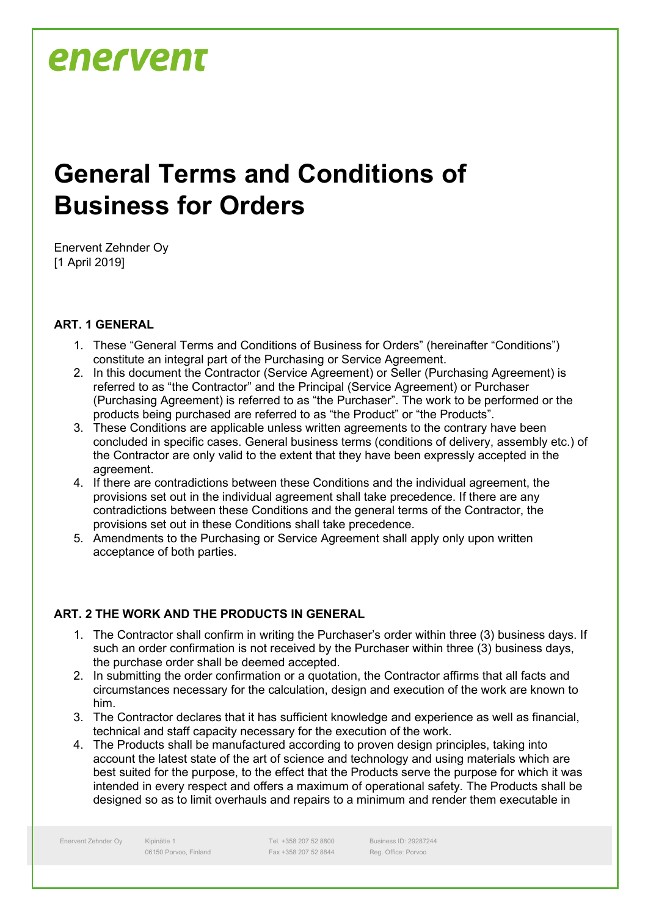### **General Terms and Conditions of Business for Orders**

Enervent Zehnder Oy [1 April 2019]

#### **ART. 1 GENERAL**

- 1. These "General Terms and Conditions of Business for Orders" (hereinafter "Conditions") constitute an integral part of the Purchasing or Service Agreement.
- 2. In this document the Contractor (Service Agreement) or Seller (Purchasing Agreement) is referred to as "the Contractor" and the Principal (Service Agreement) or Purchaser (Purchasing Agreement) is referred to as "the Purchaser". The work to be performed or the products being purchased are referred to as "the Product" or "the Products".
- 3. These Conditions are applicable unless written agreements to the contrary have been concluded in specific cases. General business terms (conditions of delivery, assembly etc.) of the Contractor are only valid to the extent that they have been expressly accepted in the agreement.
- 4. If there are contradictions between these Conditions and the individual agreement, the provisions set out in the individual agreement shall take precedence. If there are any contradictions between these Conditions and the general terms of the Contractor, the provisions set out in these Conditions shall take precedence.
- 5. Amendments to the Purchasing or Service Agreement shall apply only upon written acceptance of both parties.

#### **ART. 2 THE WORK AND THE PRODUCTS IN GENERAL**

- 1. The Contractor shall confirm in writing the Purchaser's order within three (3) business days. If such an order confirmation is not received by the Purchaser within three (3) business days, the purchase order shall be deemed accepted.
- 2. In submitting the order confirmation or a quotation, the Contractor affirms that all facts and circumstances necessary for the calculation, design and execution of the work are known to him.
- 3. The Contractor declares that it has sufficient knowledge and experience as well as financial, technical and staff capacity necessary for the execution of the work.
- 4. The Products shall be manufactured according to proven design principles, taking into account the latest state of the art of science and technology and using materials which are best suited for the purpose, to the effect that the Products serve the purpose for which it was intended in every respect and offers a maximum of operational safety. The Products shall be designed so as to limit overhauls and repairs to a minimum and render them executable in

Enervent Zehnder Oy Kipinätie 1

06150 Porvoo, Finland

Tel. +358 207 52 8800 Fax +358 207 52 8844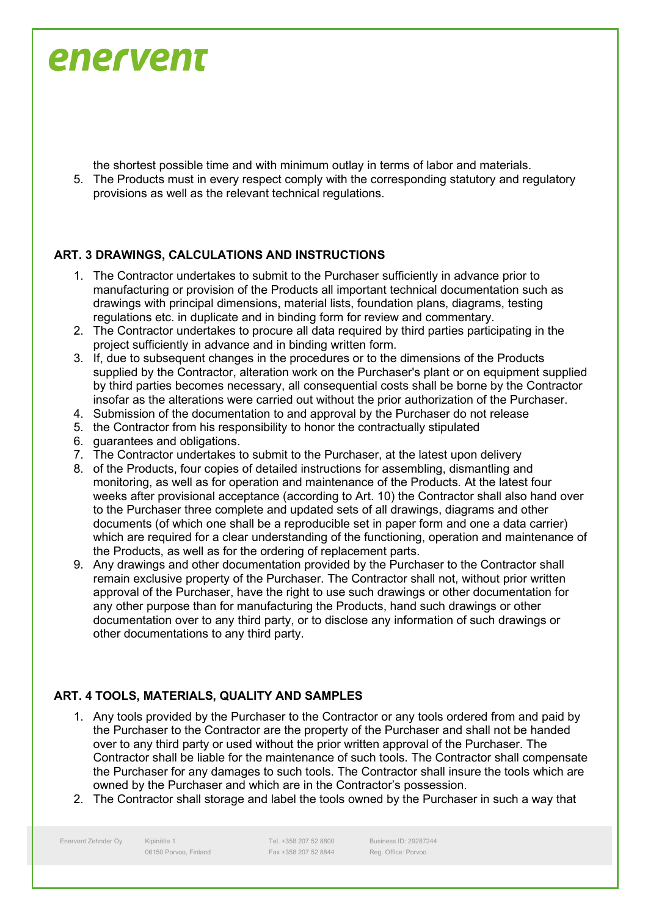the shortest possible time and with minimum outlay in terms of labor and materials.

5. The Products must in every respect comply with the corresponding statutory and regulatory provisions as well as the relevant technical regulations.

#### **ART. 3 DRAWINGS, CALCULATIONS AND INSTRUCTIONS**

- 1. The Contractor undertakes to submit to the Purchaser sufficiently in advance prior to manufacturing or provision of the Products all important technical documentation such as drawings with principal dimensions, material lists, foundation plans, diagrams, testing regulations etc. in duplicate and in binding form for review and commentary.
- 2. The Contractor undertakes to procure all data required by third parties participating in the project sufficiently in advance and in binding written form.
- 3. If, due to subsequent changes in the procedures or to the dimensions of the Products supplied by the Contractor, alteration work on the Purchaser's plant or on equipment supplied by third parties becomes necessary, all consequential costs shall be borne by the Contractor insofar as the alterations were carried out without the prior authorization of the Purchaser.
- 4. Submission of the documentation to and approval by the Purchaser do not release
- 5. the Contractor from his responsibility to honor the contractually stipulated
- 6. guarantees and obligations.
- 7. The Contractor undertakes to submit to the Purchaser, at the latest upon delivery
- 8. of the Products, four copies of detailed instructions for assembling, dismantling and monitoring, as well as for operation and maintenance of the Products. At the latest four weeks after provisional acceptance (according to Art. 10) the Contractor shall also hand over to the Purchaser three complete and updated sets of all drawings, diagrams and other documents (of which one shall be a reproducible set in paper form and one a data carrier) which are required for a clear understanding of the functioning, operation and maintenance of the Products, as well as for the ordering of replacement parts.
- 9. Any drawings and other documentation provided by the Purchaser to the Contractor shall remain exclusive property of the Purchaser. The Contractor shall not, without prior written approval of the Purchaser, have the right to use such drawings or other documentation for any other purpose than for manufacturing the Products, hand such drawings or other documentation over to any third party, or to disclose any information of such drawings or other documentations to any third party.

#### **ART. 4 TOOLS, MATERIALS, QUALITY AND SAMPLES**

- 1. Any tools provided by the Purchaser to the Contractor or any tools ordered from and paid by the Purchaser to the Contractor are the property of the Purchaser and shall not be handed over to any third party or used without the prior written approval of the Purchaser. The Contractor shall be liable for the maintenance of such tools. The Contractor shall compensate the Purchaser for any damages to such tools. The Contractor shall insure the tools which are owned by the Purchaser and which are in the Contractor's possession.
- 2. The Contractor shall storage and label the tools owned by the Purchaser in such a way that

Enervent Zehnder Oy Kipinätie 1

06150 Porvoo, Finland

Tel. +358 207 52 8800 Fax +358 207 52 8844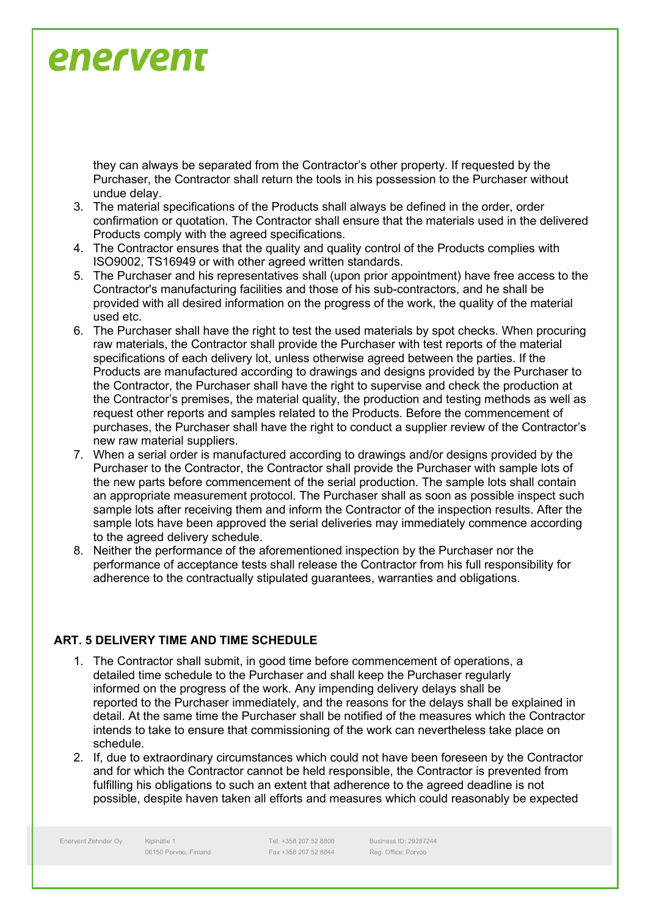they can always be separated from the Contractor's other property. If requested by the Purchaser, the Contractor shall return the tools in his possession to the Purchaser without undue delay.

- 3. The material specifications of the Products shall always be defined in the order, order confirmation or quotation. The Contractor shall ensure that the materials used in the delivered Products comply with the agreed specifications.
- 4. The Contractor ensures that the quality and quality control of the Products complies with ISO9002, TS16949 or with other agreed written standards.
- 5. The Purchaser and his representatives shall (upon prior appointment) have free access to the Contractor's manufacturing facilities and those of his sub-contractors, and he shall be provided with all desired information on the progress of the work, the quality of the material used etc.
- 6. The Purchaser shall have the right to test the used materials by spot checks. When procuring raw materials, the Contractor shall provide the Purchaser with test reports of the material specifications of each delivery lot, unless otherwise agreed between the parties. If the Products are manufactured according to drawings and designs provided by the Purchaser to the Contractor, the Purchaser shall have the right to supervise and check the production at the Contractor's premises, the material quality, the production and testing methods as well as request other reports and samples related to the Products. Before the commencement of purchases, the Purchaser shall have the right to conduct a supplier review of the Contractor's new raw material suppliers.
- 7. When a serial order is manufactured according to drawings and/or designs provided by the Purchaser to the Contractor, the Contractor shall provide the Purchaser with sample lots of the new parts before commencement of the serial production. The sample lots shall contain an appropriate measurement protocol. The Purchaser shall as soon as possible inspect such sample lots after receiving them and inform the Contractor of the inspection results. After the sample lots have been approved the serial deliveries may immediately commence according to the agreed delivery schedule.
- 8. Neither the performance of the aforementioned inspection by the Purchaser nor the performance of acceptance tests shall release the Contractor from his full responsibility for adherence to the contractually stipulated guarantees, warranties and obligations.

#### **ART. 5 DELIVERY TIME AND TIME SCHEDULE**

- 1. The Contractor shall submit, in good time before commencement of operations, a detailed time schedule to the Purchaser and shall keep the Purchaser regularly informed on the progress of the work. Any impending delivery delays shall be reported to the Purchaser immediately, and the reasons for the delays shall be explained in detail. At the same time the Purchaser shall be notified of the measures which the Contractor intends to take to ensure that commissioning of the work can nevertheless take place on schedule.
- 2. If, due to extraordinary circumstances which could not have been foreseen by the Contractor and for which the Contractor cannot be held responsible, the Contractor is prevented from fulfilling his obligations to such an extent that adherence to the agreed deadline is not possible, despite haven taken all efforts and measures which could reasonably be expected

Enervent Zehnder Oy Kipinätie 1

06150 Porvoo, Finland

Tel. +358 207 52 8800 Fax +358 207 52 8844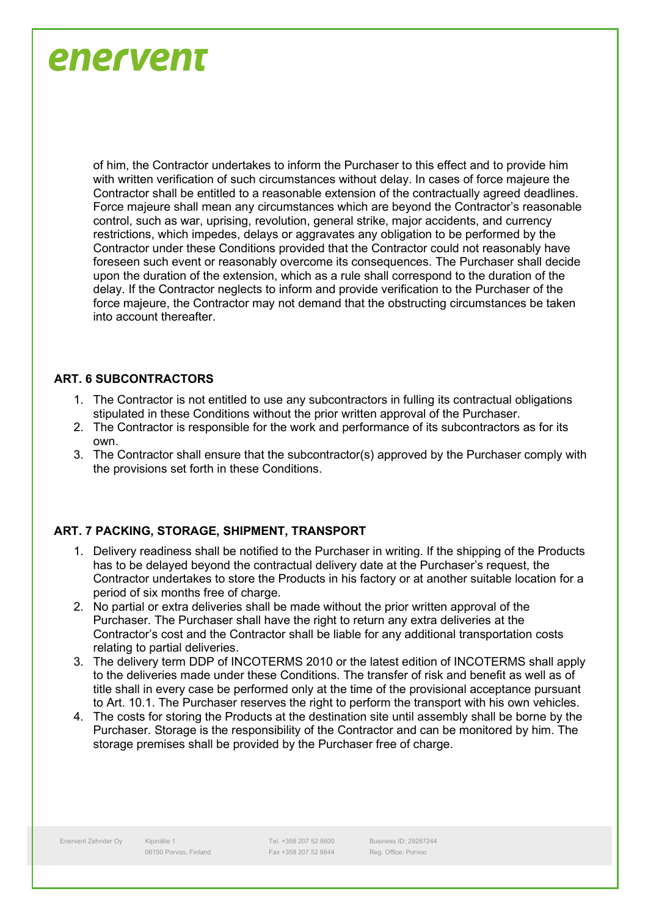of him, the Contractor undertakes to inform the Purchaser to this effect and to provide him with written verification of such circumstances without delay. In cases of force majeure the Contractor shall be entitled to a reasonable extension of the contractually agreed deadlines. Force majeure shall mean any circumstances which are beyond the Contractor's reasonable control, such as war, uprising, revolution, general strike, major accidents, and currency restrictions, which impedes, delays or aggravates any obligation to be performed by the Contractor under these Conditions provided that the Contractor could not reasonably have foreseen such event or reasonably overcome its consequences. The Purchaser shall decide upon the duration of the extension, which as a rule shall correspond to the duration of the delay. If the Contractor neglects to inform and provide verification to the Purchaser of the force majeure, the Contractor may not demand that the obstructing circumstances be taken into account thereafter.

#### **ART. 6 SUBCONTRACTORS**

- 1. The Contractor is not entitled to use any subcontractors in fulling its contractual obligations stipulated in these Conditions without the prior written approval of the Purchaser.
- 2. The Contractor is responsible for the work and performance of its subcontractors as for its own.
- 3. The Contractor shall ensure that the subcontractor(s) approved by the Purchaser comply with the provisions set forth in these Conditions.

#### **ART. 7 PACKING, STORAGE, SHIPMENT, TRANSPORT**

- 1. Delivery readiness shall be notified to the Purchaser in writing. If the shipping of the Products has to be delayed beyond the contractual delivery date at the Purchaser's request, the Contractor undertakes to store the Products in his factory or at another suitable location for a period of six months free of charge.
- 2. No partial or extra deliveries shall be made without the prior written approval of the Purchaser. The Purchaser shall have the right to return any extra deliveries at the Contractor's cost and the Contractor shall be liable for any additional transportation costs relating to partial deliveries.
- 3. The delivery term DDP of INCOTERMS 2010 or the latest edition of INCOTERMS shall apply to the deliveries made under these Conditions. The transfer of risk and benefit as well as of title shall in every case be performed only at the time of the provisional acceptance pursuant to Art. 10.1. The Purchaser reserves the right to perform the transport with his own vehicles.
- 4. The costs for storing the Products at the destination site until assembly shall be borne by the Purchaser. Storage is the responsibility of the Contractor and can be monitored by him. The storage premises shall be provided by the Purchaser free of charge.

Tel. +358 207 52 8800 Fax +358 207 52 8844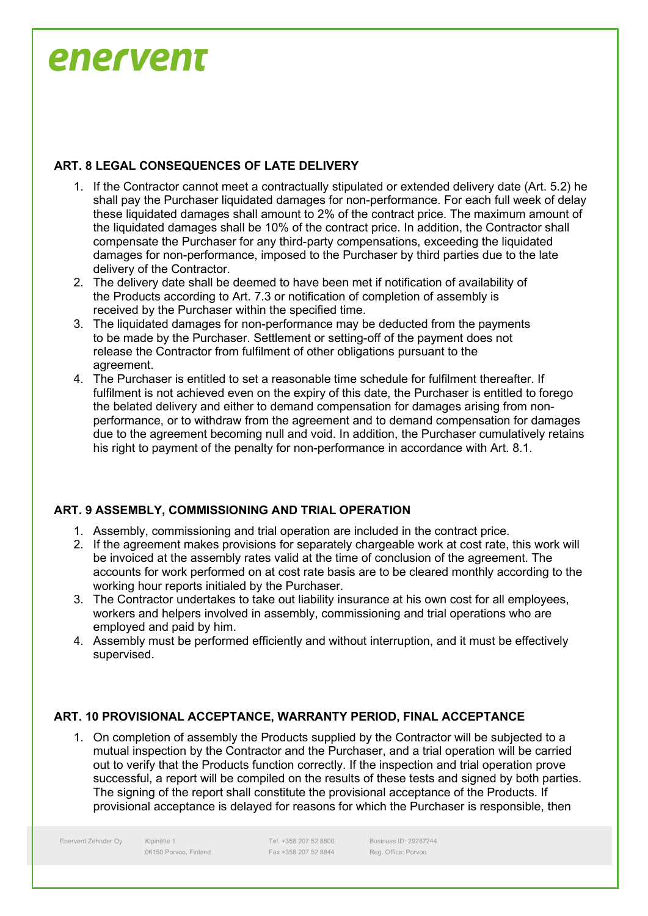#### **ART. 8 LEGAL CONSEQUENCES OF LATE DELIVERY**

- 1. If the Contractor cannot meet a contractually stipulated or extended delivery date (Art. 5.2) he shall pay the Purchaser liquidated damages for non-performance. For each full week of delay these liquidated damages shall amount to 2% of the contract price. The maximum amount of the liquidated damages shall be 10% of the contract price. In addition, the Contractor shall compensate the Purchaser for any third-party compensations, exceeding the liquidated damages for non-performance, imposed to the Purchaser by third parties due to the late delivery of the Contractor.
- 2. The delivery date shall be deemed to have been met if notification of availability of the Products according to Art. 7.3 or notification of completion of assembly is received by the Purchaser within the specified time.
- 3. The liquidated damages for non-performance may be deducted from the payments to be made by the Purchaser. Settlement or setting-off of the payment does not release the Contractor from fulfilment of other obligations pursuant to the agreement.
- 4. The Purchaser is entitled to set a reasonable time schedule for fulfilment thereafter. If fulfilment is not achieved even on the expiry of this date, the Purchaser is entitled to forego the belated delivery and either to demand compensation for damages arising from nonperformance, or to withdraw from the agreement and to demand compensation for damages due to the agreement becoming null and void. In addition, the Purchaser cumulatively retains his right to payment of the penalty for non-performance in accordance with Art. 8.1.

#### **ART. 9 ASSEMBLY, COMMISSIONING AND TRIAL OPERATION**

- 1. Assembly, commissioning and trial operation are included in the contract price.
- 2. If the agreement makes provisions for separately chargeable work at cost rate, this work will be invoiced at the assembly rates valid at the time of conclusion of the agreement. The accounts for work performed on at cost rate basis are to be cleared monthly according to the working hour reports initialed by the Purchaser.
- 3. The Contractor undertakes to take out liability insurance at his own cost for all employees, workers and helpers involved in assembly, commissioning and trial operations who are employed and paid by him.
- 4. Assembly must be performed efficiently and without interruption, and it must be effectively supervised.

#### **ART. 10 PROVISIONAL ACCEPTANCE, WARRANTY PERIOD, FINAL ACCEPTANCE**

1. On completion of assembly the Products supplied by the Contractor will be subjected to a mutual inspection by the Contractor and the Purchaser, and a trial operation will be carried out to verify that the Products function correctly. If the inspection and trial operation prove successful, a report will be compiled on the results of these tests and signed by both parties. The signing of the report shall constitute the provisional acceptance of the Products. If provisional acceptance is delayed for reasons for which the Purchaser is responsible, then

Enervent Zehnder Oy Kipinätie 1

06150 Porvoo, Finland

Tel. +358 207 52 8800 Fax +358 207 52 8844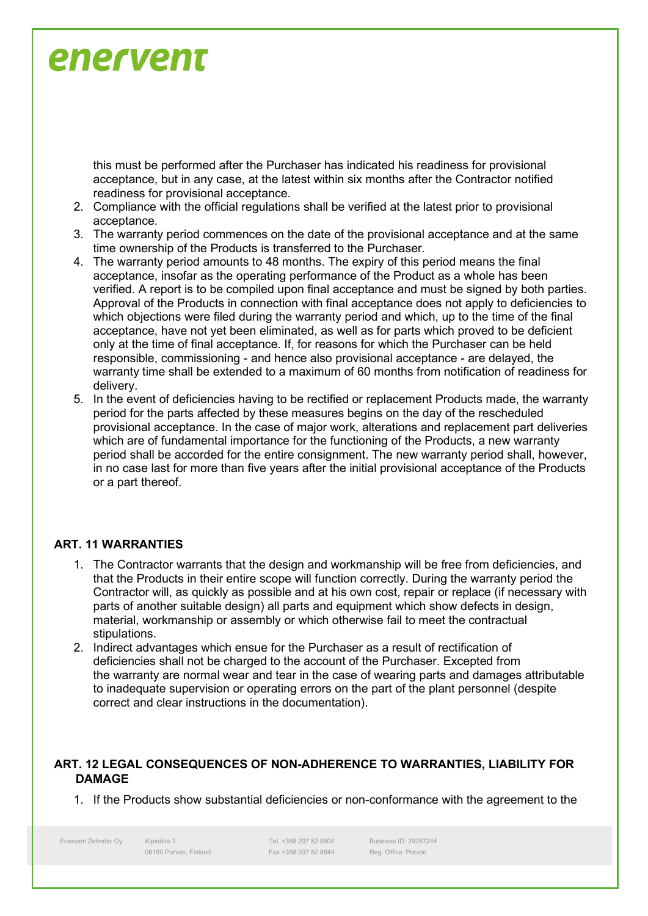this must be performed after the Purchaser has indicated his readiness for provisional acceptance, but in any case, at the latest within six months after the Contractor notified readiness for provisional acceptance.

- 2. Compliance with the official regulations shall be verified at the latest prior to provisional acceptance.
- 3. The warranty period commences on the date of the provisional acceptance and at the same time ownership of the Products is transferred to the Purchaser.
- 4. The warranty period amounts to 48 months. The expiry of this period means the final acceptance, insofar as the operating performance of the Product as a whole has been verified. A report is to be compiled upon final acceptance and must be signed by both parties. Approval of the Products in connection with final acceptance does not apply to deficiencies to which objections were filed during the warranty period and which, up to the time of the final acceptance, have not yet been eliminated, as well as for parts which proved to be deficient only at the time of final acceptance. If, for reasons for which the Purchaser can be held responsible, commissioning - and hence also provisional acceptance - are delayed, the warranty time shall be extended to a maximum of 60 months from notification of readiness for delivery.
- 5. In the event of deficiencies having to be rectified or replacement Products made, the warranty period for the parts affected by these measures begins on the day of the rescheduled provisional acceptance. In the case of major work, alterations and replacement part deliveries which are of fundamental importance for the functioning of the Products, a new warranty period shall be accorded for the entire consignment. The new warranty period shall, however, in no case last for more than five years after the initial provisional acceptance of the Products or a part thereof.

#### **ART. 11 WARRANTIES**

- 1. The Contractor warrants that the design and workmanship will be free from deficiencies, and that the Products in their entire scope will function correctly. During the warranty period the Contractor will, as quickly as possible and at his own cost, repair or replace (if necessary with parts of another suitable design) all parts and equipment which show defects in design, material, workmanship or assembly or which otherwise fail to meet the contractual stipulations.
- 2. Indirect advantages which ensue for the Purchaser as a result of rectification of deficiencies shall not be charged to the account of the Purchaser. Excepted from the warranty are normal wear and tear in the case of wearing parts and damages attributable to inadequate supervision or operating errors on the part of the plant personnel (despite correct and clear instructions in the documentation).

#### **ART. 12 LEGAL CONSEQUENCES OF NON-ADHERENCE TO WARRANTIES, LIABILITY FOR DAMAGE**

1. If the Products show substantial deficiencies or non-conformance with the agreement to the

Enervent Zehnder Oy Kipinätie 1

06150 Porvoo, Finland

Tel. +358 207 52 8800 Fax +358 207 52 8844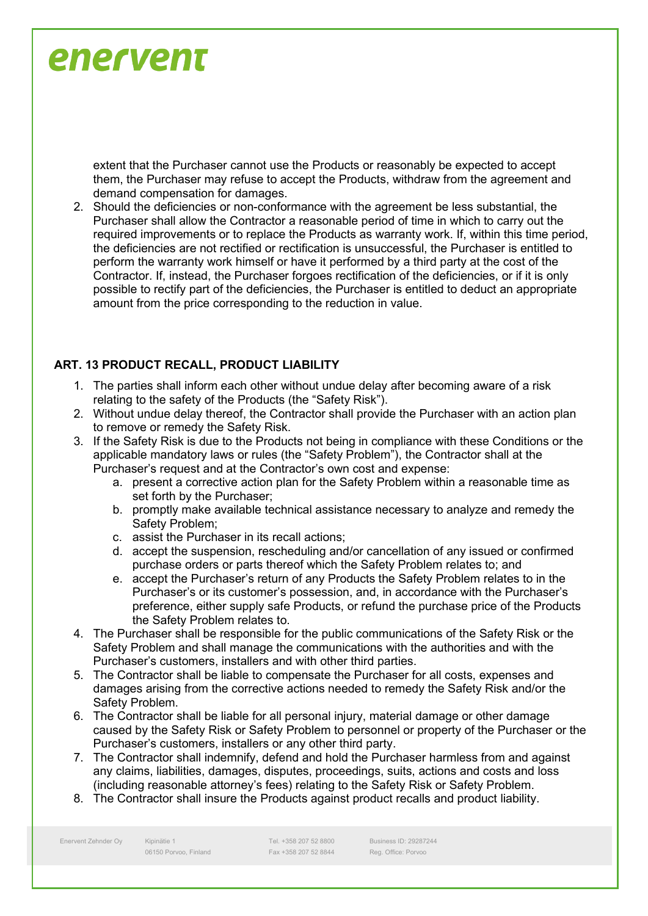extent that the Purchaser cannot use the Products or reasonably be expected to accept them, the Purchaser may refuse to accept the Products, withdraw from the agreement and demand compensation for damages.

2. Should the deficiencies or non-conformance with the agreement be less substantial, the Purchaser shall allow the Contractor a reasonable period of time in which to carry out the required improvements or to replace the Products as warranty work. If, within this time period, the deficiencies are not rectified or rectification is unsuccessful, the Purchaser is entitled to perform the warranty work himself or have it performed by a third party at the cost of the Contractor. If, instead, the Purchaser forgoes rectification of the deficiencies, or if it is only possible to rectify part of the deficiencies, the Purchaser is entitled to deduct an appropriate amount from the price corresponding to the reduction in value.

#### **ART. 13 PRODUCT RECALL, PRODUCT LIABILITY**

- 1. The parties shall inform each other without undue delay after becoming aware of a risk relating to the safety of the Products (the "Safety Risk").
- 2. Without undue delay thereof, the Contractor shall provide the Purchaser with an action plan to remove or remedy the Safety Risk.
- 3. If the Safety Risk is due to the Products not being in compliance with these Conditions or the applicable mandatory laws or rules (the "Safety Problem"), the Contractor shall at the Purchaser's request and at the Contractor's own cost and expense:
	- a. present a corrective action plan for the Safety Problem within a reasonable time as set forth by the Purchaser;
	- b. promptly make available technical assistance necessary to analyze and remedy the Safety Problem;
	- c. assist the Purchaser in its recall actions;
	- d. accept the suspension, rescheduling and/or cancellation of any issued or confirmed purchase orders or parts thereof which the Safety Problem relates to; and
	- e. accept the Purchaser's return of any Products the Safety Problem relates to in the Purchaser's or its customer's possession, and, in accordance with the Purchaser's preference, either supply safe Products, or refund the purchase price of the Products the Safety Problem relates to.
- 4. The Purchaser shall be responsible for the public communications of the Safety Risk or the Safety Problem and shall manage the communications with the authorities and with the Purchaser's customers, installers and with other third parties.
- 5. The Contractor shall be liable to compensate the Purchaser for all costs, expenses and damages arising from the corrective actions needed to remedy the Safety Risk and/or the Safety Problem.
- 6. The Contractor shall be liable for all personal injury, material damage or other damage caused by the Safety Risk or Safety Problem to personnel or property of the Purchaser or the Purchaser's customers, installers or any other third party.
- 7. The Contractor shall indemnify, defend and hold the Purchaser harmless from and against any claims, liabilities, damages, disputes, proceedings, suits, actions and costs and loss (including reasonable attorney's fees) relating to the Safety Risk or Safety Problem.
- 8. The Contractor shall insure the Products against product recalls and product liability.

Enervent Zehnder Oy Kipinätie 1

06150 Porvoo, Finland

Tel. +358 207 52 8800 Fax +358 207 52 8844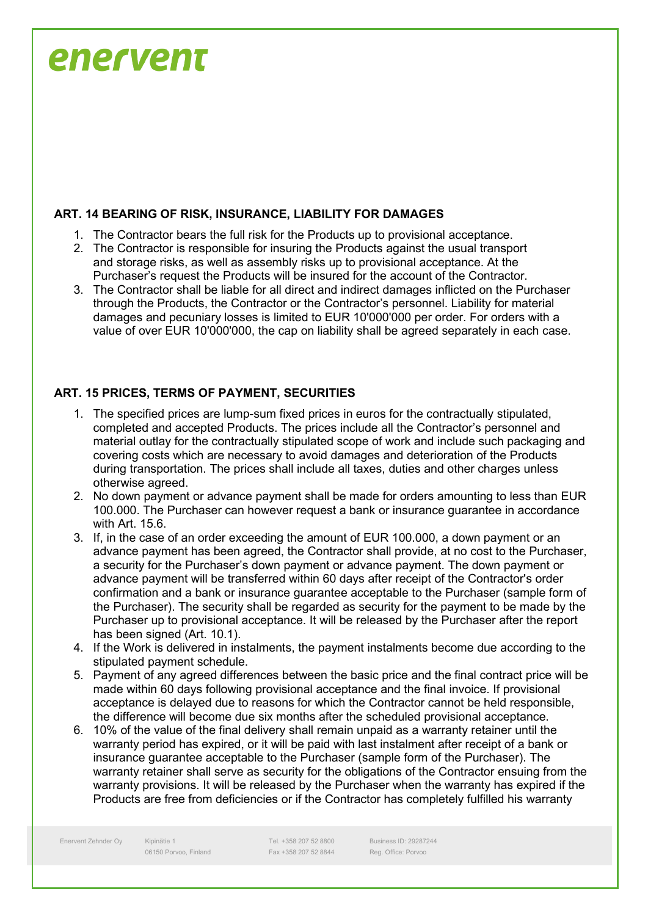#### **ART. 14 BEARING OF RISK, INSURANCE, LIABILITY FOR DAMAGES**

- 1. The Contractor bears the full risk for the Products up to provisional acceptance.
- 2. The Contractor is responsible for insuring the Products against the usual transport and storage risks, as well as assembly risks up to provisional acceptance. At the Purchaser's request the Products will be insured for the account of the Contractor.
- 3. The Contractor shall be liable for all direct and indirect damages inflicted on the Purchaser through the Products, the Contractor or the Contractor's personnel. Liability for material damages and pecuniary losses is limited to EUR 10'000'000 per order. For orders with a value of over EUR 10'000'000, the cap on liability shall be agreed separately in each case.

#### **ART. 15 PRICES, TERMS OF PAYMENT, SECURITIES**

- 1. The specified prices are lump-sum fixed prices in euros for the contractually stipulated, completed and accepted Products. The prices include all the Contractor's personnel and material outlay for the contractually stipulated scope of work and include such packaging and covering costs which are necessary to avoid damages and deterioration of the Products during transportation. The prices shall include all taxes, duties and other charges unless otherwise agreed.
- 2. No down payment or advance payment shall be made for orders amounting to less than EUR 100.000. The Purchaser can however request a bank or insurance guarantee in accordance with Art. 15.6.
- 3. If, in the case of an order exceeding the amount of EUR 100.000, a down payment or an advance payment has been agreed, the Contractor shall provide, at no cost to the Purchaser, a security for the Purchaser's down payment or advance payment. The down payment or advance payment will be transferred within 60 days after receipt of the Contractor's order confirmation and a bank or insurance guarantee acceptable to the Purchaser (sample form of the Purchaser). The security shall be regarded as security for the payment to be made by the Purchaser up to provisional acceptance. It will be released by the Purchaser after the report has been signed (Art. 10.1).
- 4. If the Work is delivered in instalments, the payment instalments become due according to the stipulated payment schedule.
- 5. Payment of any agreed differences between the basic price and the final contract price will be made within 60 days following provisional acceptance and the final invoice. If provisional acceptance is delayed due to reasons for which the Contractor cannot be held responsible, the difference will become due six months after the scheduled provisional acceptance.
- 6. 10% of the value of the final delivery shall remain unpaid as a warranty retainer until the warranty period has expired, or it will be paid with last instalment after receipt of a bank or insurance guarantee acceptable to the Purchaser (sample form of the Purchaser). The warranty retainer shall serve as security for the obligations of the Contractor ensuing from the warranty provisions. It will be released by the Purchaser when the warranty has expired if the Products are free from deficiencies or if the Contractor has completely fulfilled his warranty

Enervent Zehnder Oy Kipinätie 1

06150 Porvoo, Finland

Tel. +358 207 52 8800 Fax +358 207 52 8844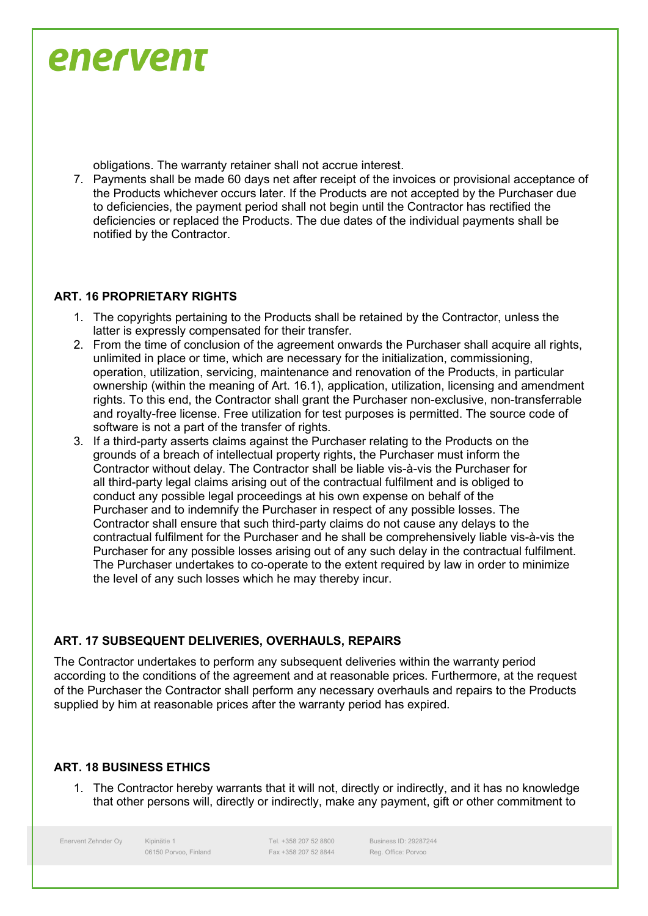obligations. The warranty retainer shall not accrue interest.

7. Payments shall be made 60 days net after receipt of the invoices or provisional acceptance of the Products whichever occurs later. If the Products are not accepted by the Purchaser due to deficiencies, the payment period shall not begin until the Contractor has rectified the deficiencies or replaced the Products. The due dates of the individual payments shall be notified by the Contractor.

#### **ART. 16 PROPRIETARY RIGHTS**

- 1. The copyrights pertaining to the Products shall be retained by the Contractor, unless the latter is expressly compensated for their transfer.
- 2. From the time of conclusion of the agreement onwards the Purchaser shall acquire all rights, unlimited in place or time, which are necessary for the initialization, commissioning, operation, utilization, servicing, maintenance and renovation of the Products, in particular ownership (within the meaning of Art. 16.1), application, utilization, licensing and amendment rights. To this end, the Contractor shall grant the Purchaser non-exclusive, non-transferrable and royalty-free license. Free utilization for test purposes is permitted. The source code of software is not a part of the transfer of rights.
- 3. If a third-party asserts claims against the Purchaser relating to the Products on the grounds of a breach of intellectual property rights, the Purchaser must inform the Contractor without delay. The Contractor shall be liable vis-à-vis the Purchaser for all third-party legal claims arising out of the contractual fulfilment and is obliged to conduct any possible legal proceedings at his own expense on behalf of the Purchaser and to indemnify the Purchaser in respect of any possible losses. The Contractor shall ensure that such third-party claims do not cause any delays to the contractual fulfilment for the Purchaser and he shall be comprehensively liable vis-à-vis the Purchaser for any possible losses arising out of any such delay in the contractual fulfilment. The Purchaser undertakes to co-operate to the extent required by law in order to minimize the level of any such losses which he may thereby incur.

#### **ART. 17 SUBSEQUENT DELIVERIES, OVERHAULS, REPAIRS**

The Contractor undertakes to perform any subsequent deliveries within the warranty period according to the conditions of the agreement and at reasonable prices. Furthermore, at the request of the Purchaser the Contractor shall perform any necessary overhauls and repairs to the Products supplied by him at reasonable prices after the warranty period has expired.

#### **ART. 18 BUSINESS ETHICS**

1. The Contractor hereby warrants that it will not, directly or indirectly, and it has no knowledge that other persons will, directly or indirectly, make any payment, gift or other commitment to

Enervent Zehnder Oy Kipinätie 1

06150 Porvoo, Finland

Tel. +358 207 52 8800 Fax +358 207 52 8844